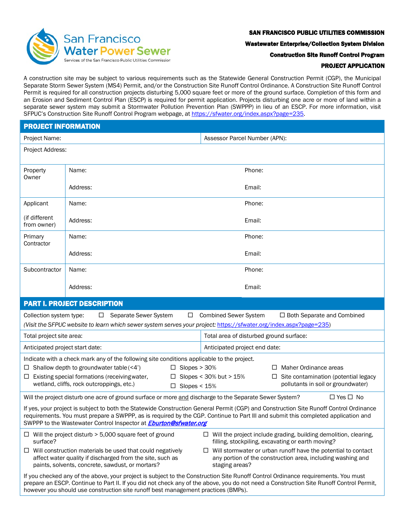

### SAN FRANCISCO PUBLIC UTILITIES COMMISSION

Wastewater Enterprise/Collection System Division

Construction Site Runoff Control Program

### PROJECT APPLICATION

A construction site may be subject to various requirements such as the Statewide General Construction Permit (CGP), the Municipal Separate Storm Sewer System (MS4) Permit, and/or the Construction Site Runoff Control Ordinance. A Construction Site Runoff Control Permit is required for all construction projects disturbing 5,000 square feet or more of the ground surface. Completion of this form and an Erosion and Sediment Control Plan (ESCP) is required for permit application. Projects disturbing one acre or more of land within a separate sewer system may submit a Stormwater Pollution Prevention Plan (SWPPP) in lieu of an ESCP. For more information, visit SFPUC's Construction Site Runoff Control Program webpage, a[t https://sfwater.org/index.aspx?page=235.](https://sfwater.org/index.aspx?page=235)

| <b>PROJECT INFORMATION</b>                                                                                                                                                                                                                                                                                                                                        |                    |                                         |  |  |  |  |
|-------------------------------------------------------------------------------------------------------------------------------------------------------------------------------------------------------------------------------------------------------------------------------------------------------------------------------------------------------------------|--------------------|-----------------------------------------|--|--|--|--|
| Project Name:                                                                                                                                                                                                                                                                                                                                                     |                    | Assessor Parcel Number (APN):           |  |  |  |  |
| Project Address:                                                                                                                                                                                                                                                                                                                                                  |                    |                                         |  |  |  |  |
| Property<br>Owner                                                                                                                                                                                                                                                                                                                                                 | Name:              | Phone:                                  |  |  |  |  |
|                                                                                                                                                                                                                                                                                                                                                                   | Address:           | Email:                                  |  |  |  |  |
| Applicant                                                                                                                                                                                                                                                                                                                                                         | Phone:<br>Name:    |                                         |  |  |  |  |
| (if different<br>from owner)                                                                                                                                                                                                                                                                                                                                      | Address:<br>Email: |                                         |  |  |  |  |
| Primary<br>Contractor                                                                                                                                                                                                                                                                                                                                             | Name:              | Phone:                                  |  |  |  |  |
|                                                                                                                                                                                                                                                                                                                                                                   | Address:           | Email:                                  |  |  |  |  |
| Subcontractor                                                                                                                                                                                                                                                                                                                                                     | Phone:<br>Name:    |                                         |  |  |  |  |
|                                                                                                                                                                                                                                                                                                                                                                   | Address:           | Email:                                  |  |  |  |  |
| <b>PART I. PROJECT DESCRIPTION</b>                                                                                                                                                                                                                                                                                                                                |                    |                                         |  |  |  |  |
| <b>Combined Sewer System</b><br>Separate Sewer System<br>$\Box$ Both Separate and Combined<br>Collection system type:<br>$\Box$<br>$\Box$<br>(Visit the SFPUC website to learn which sewer system serves your project: https://sfwater.org/index.aspx?page=235)                                                                                                   |                    |                                         |  |  |  |  |
| Total project site area:                                                                                                                                                                                                                                                                                                                                          |                    | Total area of disturbed ground surface: |  |  |  |  |
| Anticipated project start date:                                                                                                                                                                                                                                                                                                                                   |                    | Anticipated project end date:           |  |  |  |  |
| Indicate with a check mark any of the following site conditions applicable to the project.                                                                                                                                                                                                                                                                        |                    |                                         |  |  |  |  |
| Shallow depth to groundwater table (<4')<br>$\Box$ Slopes > 30%<br>Maher Ordinance areas<br>ш<br>$\perp$                                                                                                                                                                                                                                                          |                    |                                         |  |  |  |  |
| Existing special formations (receiving water,<br>Slopes < 30% but > 15%<br>Site contamination (potential legacy<br>$\Box$<br>ш<br>wetland, cliffs, rock outcroppings, etc.)<br>pollutants in soil or groundwater)<br>$\Box$ Slopes < 15%                                                                                                                          |                    |                                         |  |  |  |  |
| Will the project disturb one acre of ground surface or more and discharge to the Separate Sewer System?<br>$\Box$ Yes $\Box$ No                                                                                                                                                                                                                                   |                    |                                         |  |  |  |  |
| If yes, your project is subject to both the Statewide Construction General Permit (CGP) and Construction Site Runoff Control Ordinance<br>requirements. You must prepare a SWPPP, as is required by the CGP. Continue to Part III and submit this completed application and<br>SWPPP to the Wastewater Control Inspector at <i>Eburton@sfwater.org</i>            |                    |                                         |  |  |  |  |
| $\Box$ Will the project disturb > 5,000 square feet of ground<br>$\Box$ Will the project include grading, building demolition, clearing,<br>surface?<br>filling, stockpiling, excavating or earth moving?                                                                                                                                                         |                    |                                         |  |  |  |  |
| Will construction materials be used that could negatively<br>Will stormwater or urban runoff have the potential to contact<br>ш<br>⊔<br>affect water quality if discharged from the site, such as<br>any portion of the construction area, including washing and<br>paints, solvents, concrete, sawdust, or mortars?<br>staging areas?                            |                    |                                         |  |  |  |  |
| If you checked any of the above, your project is subject to the Construction Site Runoff Control Ordinance requirements. You must<br>prepare an ESCP. Continue to Part II. If you did not check any of the above, you do not need a Construction Site Runoff Control Permit,<br>however you should use construction site runoff best management practices (BMPs). |                    |                                         |  |  |  |  |